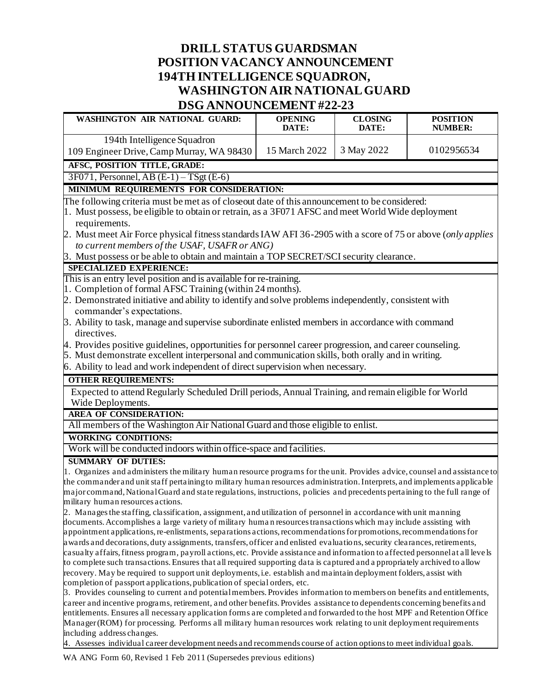# **DRILL STATUS GUARDSMAN POSITION VACANCY ANNOUNCEMENT 194TH INTELLIGENCE SQUADRON, WASHINGTON AIR NATIONALGUARD DSG ANNOUNCEMENT #22-23**

| DOG ARROURCEMER I #22-23                                                                                                                                                                                                                                    |                         |                         |                                   |
|-------------------------------------------------------------------------------------------------------------------------------------------------------------------------------------------------------------------------------------------------------------|-------------------------|-------------------------|-----------------------------------|
| <b>WASHINGTON AIR NATIONAL GUARD:</b>                                                                                                                                                                                                                       | <b>OPENING</b><br>DATE: | <b>CLOSING</b><br>DATE: | <b>POSITION</b><br><b>NUMBER:</b> |
| 194th Intelligence Squadron<br>109 Engineer Drive, Camp Murray, WA 98430                                                                                                                                                                                    | 15 March 2022           | 3 May 2022              | 0102956534                        |
| AFSC, POSITION TITLE, GRADE:                                                                                                                                                                                                                                |                         |                         |                                   |
| $3F071$ , Personnel, AB $(E-1)$ – TSgt $(E-6)$                                                                                                                                                                                                              |                         |                         |                                   |
| MINIMUM REQUIREMENTS FOR CONSIDERATION:                                                                                                                                                                                                                     |                         |                         |                                   |
| The following criteria must be met as of closeout date of this announcement to be considered:                                                                                                                                                               |                         |                         |                                   |
| 1. Must possess, be eligible to obtain or retrain, as a 3F071 AFSC and meet World Wide deployment                                                                                                                                                           |                         |                         |                                   |
| requirements.                                                                                                                                                                                                                                               |                         |                         |                                   |
| 2. Must meet Air Force physical fitness standards IAW AFI 36-2905 with a score of 75 or above (only applies                                                                                                                                                 |                         |                         |                                   |
| to current members of the USAF, USAFR or ANG)<br>3. Must possess or be able to obtain and maintain a TOP SECRET/SCI security clearance.                                                                                                                     |                         |                         |                                   |
|                                                                                                                                                                                                                                                             |                         |                         |                                   |
| <b>SPECIALIZED EXPERIENCE:</b>                                                                                                                                                                                                                              |                         |                         |                                   |
| This is an entry level position and is available for re-training.<br>1. Completion of formal AFSC Training (within 24 months).                                                                                                                              |                         |                         |                                   |
| 2. Demonstrated initiative and ability to identify and solve problems independently, consistent with                                                                                                                                                        |                         |                         |                                   |
| commander's expectations.                                                                                                                                                                                                                                   |                         |                         |                                   |
| 3. Ability to task, manage and supervise subordinate enlisted members in accordance with command                                                                                                                                                            |                         |                         |                                   |
| directives.                                                                                                                                                                                                                                                 |                         |                         |                                   |
| 4. Provides positive guidelines, opportunities for personnel career progression, and career counseling.                                                                                                                                                     |                         |                         |                                   |
| 5. Must demonstrate excellent interpersonal and communication skills, both orally and in writing.                                                                                                                                                           |                         |                         |                                   |
| 6. Ability to lead and work independent of direct supervision when necessary.                                                                                                                                                                               |                         |                         |                                   |
| <b>OTHER REQUIREMENTS:</b>                                                                                                                                                                                                                                  |                         |                         |                                   |
| Expected to attend Regularly Scheduled Drill periods, Annual Training, and remain eligible for World<br>Wide Deployments.                                                                                                                                   |                         |                         |                                   |
| <b>AREA OF CONSIDERATION:</b>                                                                                                                                                                                                                               |                         |                         |                                   |
| All members of the Washington Air National Guard and those eligible to enlist.                                                                                                                                                                              |                         |                         |                                   |
| <b>WORKING CONDITIONS:</b>                                                                                                                                                                                                                                  |                         |                         |                                   |
| Work will be conducted indoors within office-space and facilities.                                                                                                                                                                                          |                         |                         |                                   |
| <b>SUMMARY OF DUTIES:</b>                                                                                                                                                                                                                                   |                         |                         |                                   |
| 1. Organizes and administers the military human resource programs for the unit. Provides advice, counsel and assistance to                                                                                                                                  |                         |                         |                                   |
| the commander and unit staff pertaining to military human resources administration. Interprets, and implements applicable                                                                                                                                   |                         |                         |                                   |
| major command, National Guard and state regulations, instructions, policies and precedents pertaining to the full range of                                                                                                                                  |                         |                         |                                   |
| military human resources actions.                                                                                                                                                                                                                           |                         |                         |                                   |
| 2. Manages the staffing, classification, assignment, and utilization of personnel in accordance with unit manning                                                                                                                                           |                         |                         |                                   |
| documents. Accomplishes a large variety of military human resources transactions which may include assisting with<br>appointment applications, re-enlistments, separations actions, recommendations for promotions, recommendations for                     |                         |                         |                                   |
|                                                                                                                                                                                                                                                             |                         |                         |                                   |
| awards and decorations, duty assignments, transfers, officer and enlisted evaluations, security clearances, retirements,<br>casualty affairs, fitness program, payroll actions, etc. Provide assistance and information to affected personnel at all levels |                         |                         |                                   |
| to complete such transactions. Ensures that all required supporting data is captured and a ppropriately archived to allow                                                                                                                                   |                         |                         |                                   |
| recovery. May be required to support unit deployments, i.e. establish and maintain deployment folders, assist with                                                                                                                                          |                         |                         |                                   |
| completion of passport applications, publication of special orders, etc.                                                                                                                                                                                    |                         |                         |                                   |
| 3. Provides counseling to current and potential members. Provides information to members on benefits and entitlements,                                                                                                                                      |                         |                         |                                   |
| career and incentive programs, retirement, and other benefits. Provides assistance to dependents concerning benefits and<br>entitlements. Ensures all necessary application forms are completed and forwarded to the host MPF and Retention Office          |                         |                         |                                   |

Manager (ROM) for processing. Performs all military human resources work relating to unit deployment requirements including address changes.

4. Assesses individual career development needs and recommends course of action options to meet individual goals.